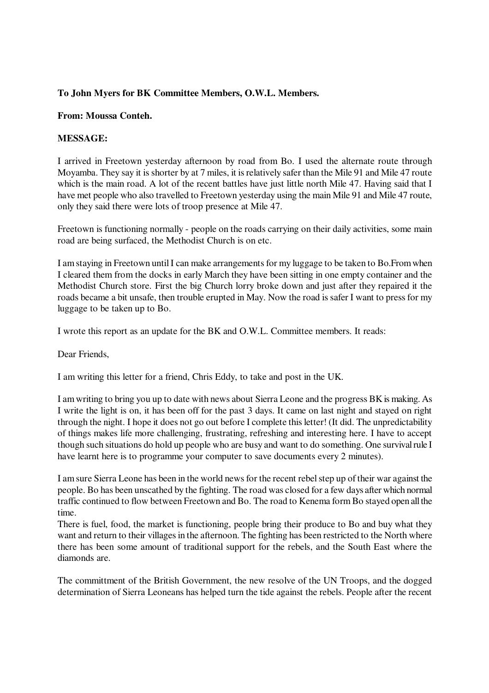### **To John Myers for BK Committee Members, O.W.L. Members.**

#### **From: Moussa Conteh.**

#### **MESSAGE:**

I arrived in Freetown yesterday afternoon by road from Bo. I used the alternate route through Moyamba. They say it is shorter by at 7 miles, it is relatively safer than the Mile 91 and Mile 47 route which is the main road. A lot of the recent battles have just little north Mile 47. Having said that I have met people who also travelled to Freetown yesterday using the main Mile 91 and Mile 47 route, only they said there were lots of troop presence at Mile 47.

Freetown is functioning normally - people on the roads carrying on their daily activities, some main road are being surfaced, the Methodist Church is on etc.

I am staying in Freetown until I can make arrangements for my luggage to be taken to Bo.From when I cleared them from the docks in early March they have been sitting in one empty container and the Methodist Church store. First the big Church lorry broke down and just after they repaired it the roads became a bit unsafe, then trouble erupted in May. Now the road is safer I want to press for my luggage to be taken up to Bo.

I wrote this report as an update for the BK and O.W.L. Committee members. It reads:

Dear Friends,

I am writing this letter for a friend, Chris Eddy, to take and post in the UK.

I am writing to bring you up to date with news about Sierra Leone and the progress BK is making. As I write the light is on, it has been off for the past 3 days. It came on last night and stayed on right through the night. I hope it does not go out before I complete this letter! (It did. The unpredictability of things makes life more challenging, frustrating, refreshing and interesting here. I have to accept though such situations do hold up people who are busy and want to do something. One survival rule I have learnt here is to programme your computer to save documents every 2 minutes).

I am sure Sierra Leone has been in the world news for the recent rebel step up of their war against the people. Bo has been unscathed by the fighting. The road was closed for a few days after which normal traffic continued to flow between Freetown and Bo. The road to Kenema form Bo stayed open all the time.

There is fuel, food, the market is functioning, people bring their produce to Bo and buy what they want and return to their villages in the afternoon. The fighting has been restricted to the North where there has been some amount of traditional support for the rebels, and the South East where the diamonds are.

The committment of the British Government, the new resolve of the UN Troops, and the dogged determination of Sierra Leoneans has helped turn the tide against the rebels. People after the recent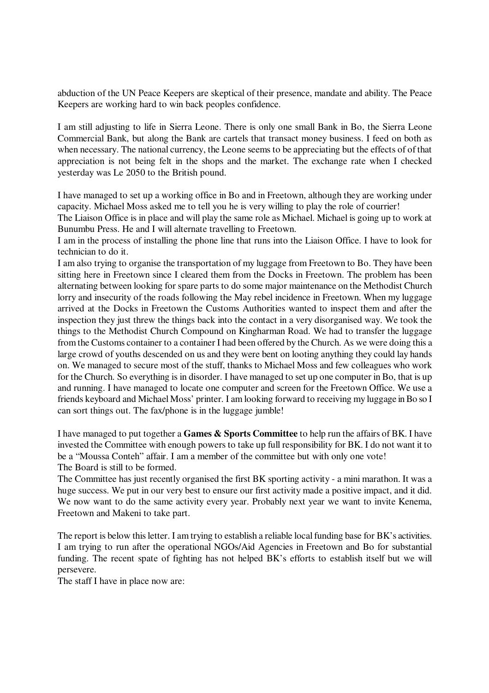abduction of the UN Peace Keepers are skeptical of their presence, mandate and ability. The Peace Keepers are working hard to win back peoples confidence.

I am still adjusting to life in Sierra Leone. There is only one small Bank in Bo, the Sierra Leone Commercial Bank, but along the Bank are cartels that transact money business. I feed on both as when necessary. The national currency, the Leone seems to be appreciating but the effects of of that appreciation is not being felt in the shops and the market. The exchange rate when I checked yesterday was Le 2050 to the British pound.

I have managed to set up a working office in Bo and in Freetown, although they are working under capacity. Michael Moss asked me to tell you he is very willing to play the role of courrier!

The Liaison Office is in place and will play the same role as Michael. Michael is going up to work at Bunumbu Press. He and I will alternate travelling to Freetown.

I am in the process of installing the phone line that runs into the Liaison Office. I have to look for technician to do it.

I am also trying to organise the transportation of my luggage from Freetown to Bo. They have been sitting here in Freetown since I cleared them from the Docks in Freetown. The problem has been alternating between looking for spare parts to do some major maintenance on the Methodist Church lorry and insecurity of the roads following the May rebel incidence in Freetown. When my luggage arrived at the Docks in Freetown the Customs Authorities wanted to inspect them and after the inspection they just threw the things back into the contact in a very disorganised way. We took the things to the Methodist Church Compound on Kingharman Road. We had to transfer the luggage from the Customs container to a container I had been offered by the Church. As we were doing this a large crowd of youths descended on us and they were bent on looting anything they could lay hands on. We managed to secure most of the stuff, thanks to Michael Moss and few colleagues who work for the Church. So everything is in disorder. I have managed to set up one computer in Bo, that is up and running. I have managed to locate one computer and screen for the Freetown Office. We use a friends keyboard and Michael Moss' printer. I am looking forward to receiving my luggage in Bo so I can sort things out. The fax/phone is in the luggage jumble!

I have managed to put together a **Games & Sports Committee** to help run the affairs of BK. I have invested the Committee with enough powers to take up full responsibility for BK. I do not want it to be a "Moussa Conteh" affair. I am a member of the committee but with only one vote! The Board is still to be formed.

The Committee has just recently organised the first BK sporting activity - a mini marathon. It was a huge success. We put in our very best to ensure our first activity made a positive impact, and it did. We now want to do the same activity every year. Probably next year we want to invite Kenema, Freetown and Makeni to take part.

The report is below this letter. I am trying to establish a reliable local funding base for BK's activities. I am trying to run after the operational NGOs/Aid Agencies in Freetown and Bo for substantial funding. The recent spate of fighting has not helped BK's efforts to establish itself but we will persevere.

The staff I have in place now are: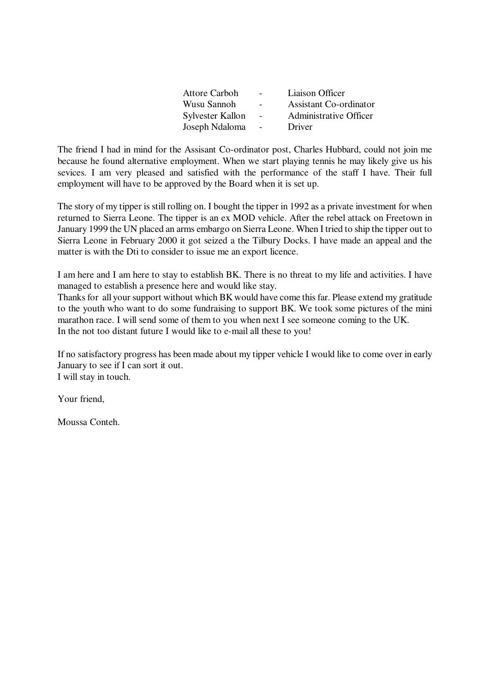|                          | Liaison Officer        |
|--------------------------|------------------------|
|                          | Assistant Co-ordinator |
| $\overline{\phantom{a}}$ | Administrative Officer |
| $\sim$                   | Driver                 |
|                          |                        |

The friend I had in mind for the Assisant Co-ordinator post, Charles Hubbard, could not join me because he found alternative employment. When we start playing tennis he may likely give us his sevices. I am very pleased and satisfied with the performance of the staff I have. Their full employment will have to be approved by the Board when it is set up.

The story of my tipper is still rolling on. I bought the tipper in 1992 as a private investment for when returned to Sierra Leone. The tipper is an ex MOD vehicle. After the rebel attack on Freetown in January 1999 the UN placed an arms embargo on Sierra Leone. When I tried to ship the tipper out to Sierra Leone in February 2000 it got seized a the Tilbury Docks. I have made an appeal and the matter is with the Dti to consider to issue me an export licence.

I am here and I am here to stay to establish BK. There is no threat to my life and activities. I have managed to establish a presence here and would like stay.

Thanks for all your support without which BK would have come this far. Please extend my gratitude to the youth who want to do some fundraising to support BK. We took some pictures of the mini marathon race. I will send some of them to you when next I see someone coming to the UK. In the not too distant future I would like to e-mail all these to you!

If no satisfactory progress has been made about my tipper vehicle I would like to come over in early January to see if I can sort it out. I will stay in touch.

Your friend,

Moussa Conteh.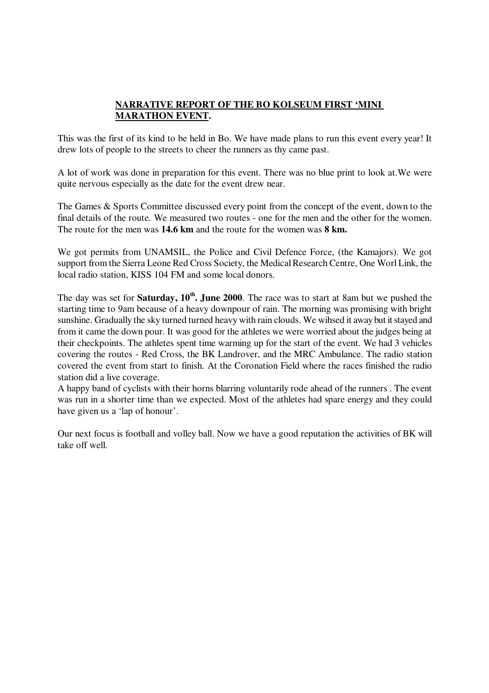## **NARRATIVE REPORT OF THE BO KOLSEUM FIRST 'MINI MARATHON EVENT.**

This was the first of its kind to be held in Bo. We have made plans to run this event every year! It drew lots of people to the streets to cheer the runners as thy came past.

A lot of work was done in preparation for this event. There was no blue print to look at.We were quite nervous especially as the date for the event drew near.

The Games & Sports Committee discussed every point from the concept of the event, down to the final details of the route. We measured two routes - one for the men and the other for the women. The route for the men was **14.6 km** and the route for the women was **8 km.**

We got permits from UNAMSIL, the Police and Civil Defence Force, (the Kamajors). We got support from the Sierra Leone Red Cross Society, the Medical Research Centre, One Worl Link, the local radio station, KISS 104 FM and some local donors.

The day was set for **Saturday, 10th. June 2000**. The race was to start at 8am but we pushed the starting time to 9am because of a heavy downpour of rain. The morning was promising with bright sunshine. Gradually the sky turned turned heavy with rain clouds. We wihsed it away but it stayed and from it came the down pour. It was good for the athletes we were worried about the judges being at their checkpoints. The athletes spent time warming up for the start of the event. We had 3 vehicles covering the routes - Red Cross, the BK Landrover, and the MRC Ambulance. The radio station covered the event from start to finish. At the Coronation Field where the races finished the radio station did a live coverage.

A happy band of cyclists with their horns blarring voluntarily rode ahead of the runners . The event was run in a shorter time than we expected. Most of the athletes had spare energy and they could have given us a 'lap of honour'.

Our next focus is football and volley ball. Now we have a good reputation the activities of BK will take off well.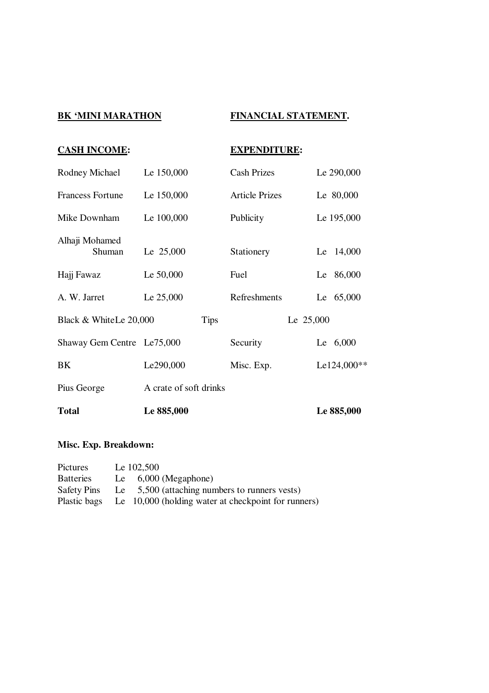# **BK 'MINI MARATHON FINANCIAL STATEMENT.**

| <b>CASH INCOME:</b>        |                        | <b>EXPENDITURE:</b>   |             |
|----------------------------|------------------------|-----------------------|-------------|
| Rodney Michael             | Le 150,000             | <b>Cash Prizes</b>    | Le 290,000  |
| <b>Francess Fortune</b>    | Le 150,000             | <b>Article Prizes</b> | Le 80,000   |
| Mike Downham               | Le 100,000             | Publicity             | Le 195,000  |
| Alhaji Mohamed<br>Shuman   | Le 25,000              | Stationery            | Le 14,000   |
| Hajj Fawaz                 | Le 50,000              | Fuel                  | Le 86,000   |
| A. W. Jarret               | Le 25,000              | Refreshments          | Le 65,000   |
| Black & WhiteLe 20,000     | <b>Tips</b>            |                       | Le 25,000   |
| Shaway Gem Centre Le75,000 |                        | Security              | Le $6,000$  |
| BK                         | Le290,000              | Misc. Exp.            | Le124,000** |
| Pius George                | A crate of soft drinks |                       |             |
| <b>Total</b>               | Le 885,000             |                       | Le 885,000  |

## **Misc. Exp. Breakdown:**

| Pictures           | Le 102,500                                                       |
|--------------------|------------------------------------------------------------------|
| <b>Batteries</b>   | Le $6,000$ (Megaphone)                                           |
| <b>Safety Pins</b> | Le 5,500 (attaching numbers to runners vests)                    |
|                    | Plastic bags Le 10,000 (holding water at checkpoint for runners) |